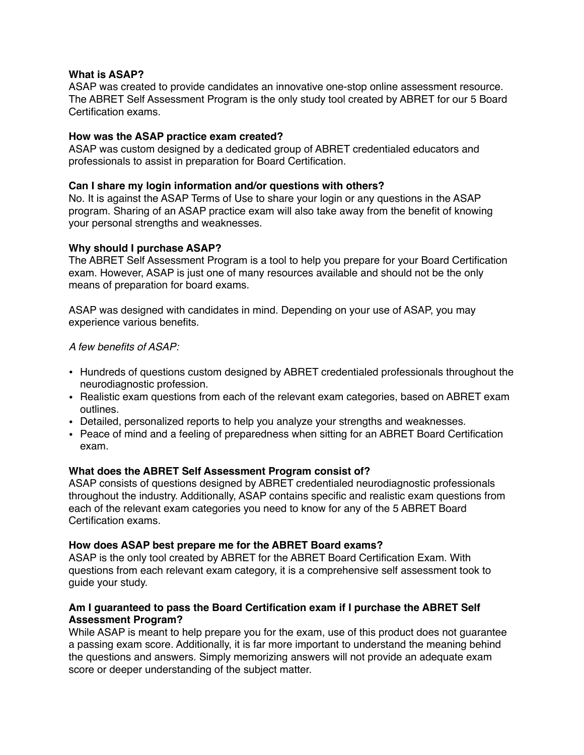## **What is ASAP?**

ASAP was created to provide candidates an innovative one-stop online assessment resource. The ABRET Self Assessment Program is the only study tool created by ABRET for our 5 Board Certification exams.

# **How was the ASAP practice exam created?**

ASAP was custom designed by a dedicated group of ABRET credentialed educators and professionals to assist in preparation for Board Certification.

## **Can I share my login information and/or questions with others?**

No. It is against the ASAP Terms of Use to share your login or any questions in the ASAP program. Sharing of an ASAP practice exam will also take away from the benefit of knowing your personal strengths and weaknesses.

## **Why should I purchase ASAP?**

The ABRET Self Assessment Program is a tool to help you prepare for your Board Certification exam. However, ASAP is just one of many resources available and should not be the only means of preparation for board exams.

ASAP was designed with candidates in mind. Depending on your use of ASAP, you may experience various benefits.

*A few benefits of ASAP:*

- Hundreds of questions custom designed by ABRET credentialed professionals throughout the neurodiagnostic profession.
- Realistic exam questions from each of the relevant exam categories, based on ABRET exam outlines.
- Detailed, personalized reports to help you analyze your strengths and weaknesses.
- Peace of mind and a feeling of preparedness when sitting for an ABRET Board Certification exam.

### **What does the ABRET Self Assessment Program consist of?**

ASAP consists of questions designed by ABRET credentialed neurodiagnostic professionals throughout the industry. Additionally, ASAP contains specific and realistic exam questions from each of the relevant exam categories you need to know for any of the 5 ABRET Board Certification exams.

### **How does ASAP best prepare me for the ABRET Board exams?**

ASAP is the only tool created by ABRET for the ABRET Board Certification Exam. With questions from each relevant exam category, it is a comprehensive self assessment took to guide your study.

# **Am I guaranteed to pass the Board Certification exam if I purchase the ABRET Self Assessment Program?**

While ASAP is meant to help prepare you for the exam, use of this product does not guarantee a passing exam score. Additionally, it is far more important to understand the meaning behind the questions and answers. Simply memorizing answers will not provide an adequate exam score or deeper understanding of the subject matter.